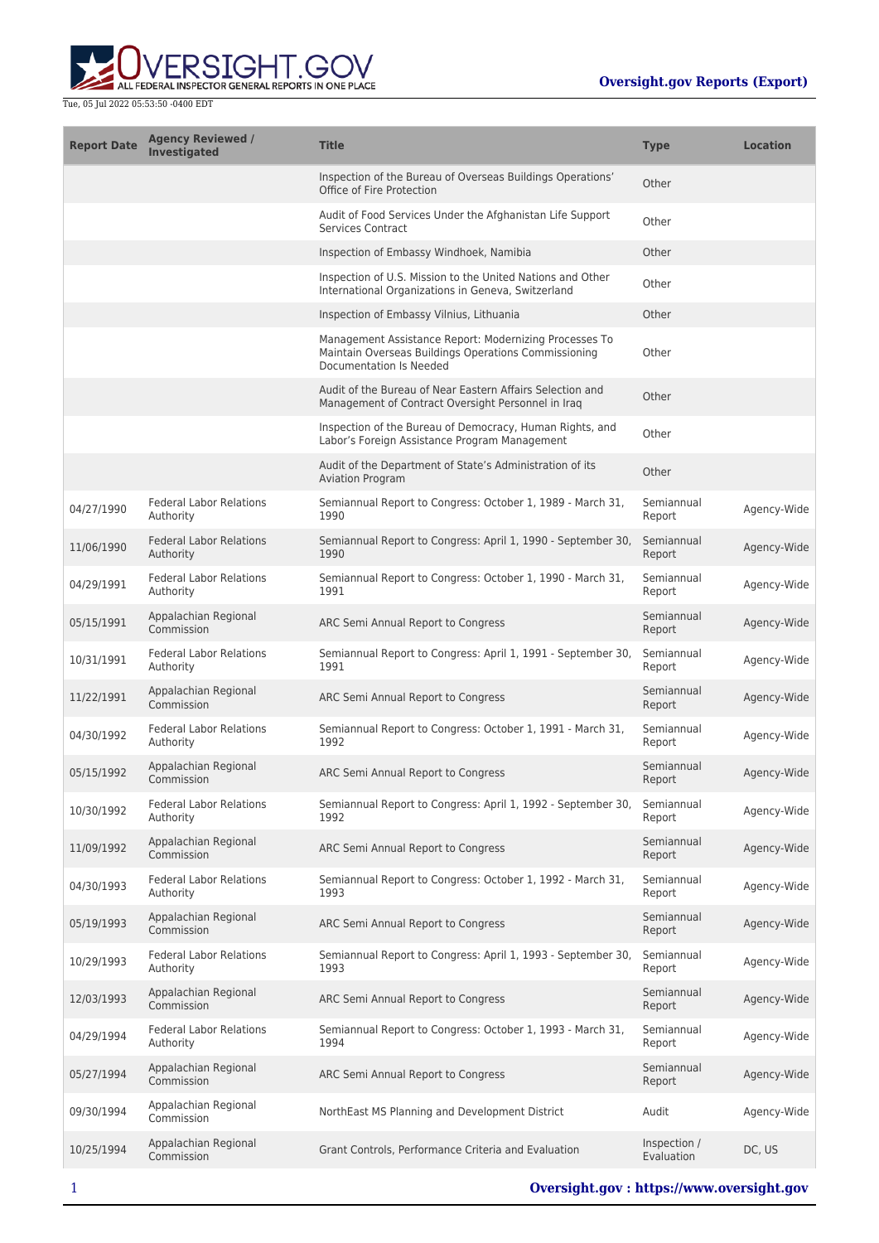

| <b>Report Date</b> | <b>Agency Reviewed /</b><br><b>Investigated</b> | <b>Title</b>                                                                                                                              | <b>Type</b>                | <b>Location</b> |
|--------------------|-------------------------------------------------|-------------------------------------------------------------------------------------------------------------------------------------------|----------------------------|-----------------|
|                    |                                                 | Inspection of the Bureau of Overseas Buildings Operations'<br>Office of Fire Protection                                                   | Other                      |                 |
|                    |                                                 | Audit of Food Services Under the Afghanistan Life Support<br><b>Services Contract</b>                                                     | Other                      |                 |
|                    |                                                 | Inspection of Embassy Windhoek, Namibia                                                                                                   | Other                      |                 |
|                    |                                                 | Inspection of U.S. Mission to the United Nations and Other<br>International Organizations in Geneva, Switzerland                          | Other                      |                 |
|                    |                                                 | Inspection of Embassy Vilnius, Lithuania                                                                                                  | Other                      |                 |
|                    |                                                 | Management Assistance Report: Modernizing Processes To<br>Maintain Overseas Buildings Operations Commissioning<br>Documentation Is Needed | Other                      |                 |
|                    |                                                 | Audit of the Bureau of Near Eastern Affairs Selection and<br>Management of Contract Oversight Personnel in Iraq                           | Other                      |                 |
|                    |                                                 | Inspection of the Bureau of Democracy, Human Rights, and<br>Labor's Foreign Assistance Program Management                                 | Other                      |                 |
|                    |                                                 | Audit of the Department of State's Administration of its<br><b>Aviation Program</b>                                                       | Other                      |                 |
| 04/27/1990         | <b>Federal Labor Relations</b><br>Authority     | Semiannual Report to Congress: October 1, 1989 - March 31,<br>1990                                                                        | Semiannual<br>Report       | Agency-Wide     |
| 11/06/1990         | <b>Federal Labor Relations</b><br>Authority     | Semiannual Report to Congress: April 1, 1990 - September 30,<br>1990                                                                      | Semiannual<br>Report       | Agency-Wide     |
| 04/29/1991         | <b>Federal Labor Relations</b><br>Authority     | Semiannual Report to Congress: October 1, 1990 - March 31,<br>1991                                                                        | Semiannual<br>Report       | Agency-Wide     |
| 05/15/1991         | Appalachian Regional<br>Commission              | ARC Semi Annual Report to Congress                                                                                                        | Semiannual<br>Report       | Agency-Wide     |
| 10/31/1991         | <b>Federal Labor Relations</b><br>Authority     | Semiannual Report to Congress: April 1, 1991 - September 30,<br>1991                                                                      | Semiannual<br>Report       | Agency-Wide     |
| 11/22/1991         | Appalachian Regional<br>Commission              | ARC Semi Annual Report to Congress                                                                                                        | Semiannual<br>Report       | Agency-Wide     |
| 04/30/1992         | <b>Federal Labor Relations</b><br>Authority     | Semiannual Report to Congress: October 1, 1991 - March 31,<br>1992                                                                        | Semiannual<br>Report       | Agency-Wide     |
| 05/15/1992         | Appalachian Regional<br>Commission              | ARC Semi Annual Report to Congress                                                                                                        | Semiannual<br>Report       | Agency-Wide     |
| 10/30/1992         | <b>Federal Labor Relations</b><br>Authority     | Semiannual Report to Congress: April 1, 1992 - September 30,<br>1992                                                                      | Semiannual<br>Report       | Agency-Wide     |
| 11/09/1992         | Appalachian Regional<br>Commission              | ARC Semi Annual Report to Congress                                                                                                        | Semiannual<br>Report       | Agency-Wide     |
| 04/30/1993         | <b>Federal Labor Relations</b><br>Authority     | Semiannual Report to Congress: October 1, 1992 - March 31,<br>1993                                                                        | Semiannual<br>Report       | Agency-Wide     |
| 05/19/1993         | Appalachian Regional<br>Commission              | ARC Semi Annual Report to Congress                                                                                                        | Semiannual<br>Report       | Agency-Wide     |
| 10/29/1993         | <b>Federal Labor Relations</b><br>Authority     | Semiannual Report to Congress: April 1, 1993 - September 30,<br>1993                                                                      | Semiannual<br>Report       | Agency-Wide     |
| 12/03/1993         | Appalachian Regional<br>Commission              | ARC Semi Annual Report to Congress                                                                                                        | Semiannual<br>Report       | Agency-Wide     |
| 04/29/1994         | <b>Federal Labor Relations</b><br>Authority     | Semiannual Report to Congress: October 1, 1993 - March 31,<br>1994                                                                        | Semiannual<br>Report       | Agency-Wide     |
| 05/27/1994         | Appalachian Regional<br>Commission              | ARC Semi Annual Report to Congress                                                                                                        | Semiannual<br>Report       | Agency-Wide     |
| 09/30/1994         | Appalachian Regional<br>Commission              | NorthEast MS Planning and Development District                                                                                            | Audit                      | Agency-Wide     |
| 10/25/1994         | Appalachian Regional<br>Commission              | Grant Controls, Performance Criteria and Evaluation                                                                                       | Inspection /<br>Evaluation | DC, US          |
|                    |                                                 |                                                                                                                                           |                            |                 |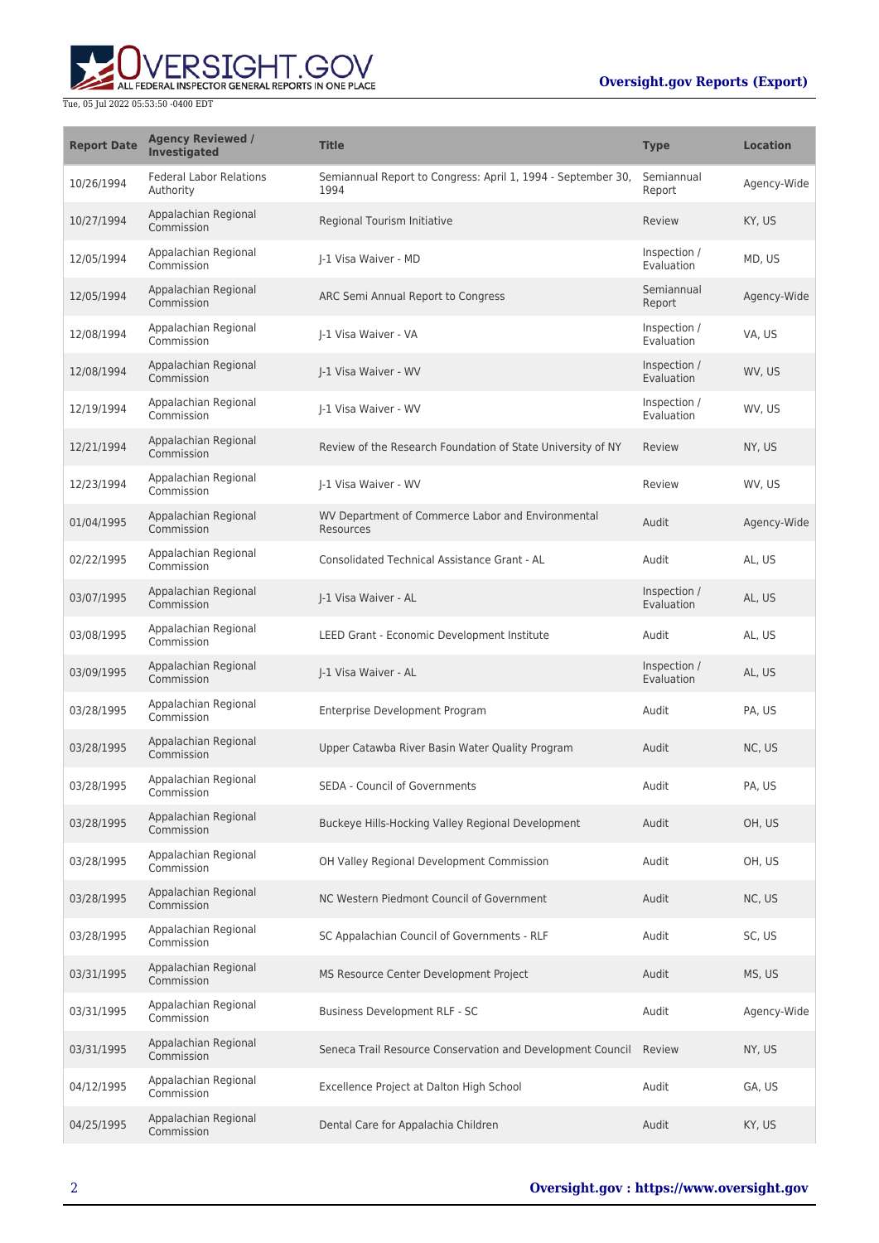## **Oversight.gov Reports (Export)**



| <b>Report Date</b> | <b>Agency Reviewed /</b><br><b>Investigated</b> | <b>Title</b>                                                         | <b>Type</b>                | <b>Location</b> |
|--------------------|-------------------------------------------------|----------------------------------------------------------------------|----------------------------|-----------------|
| 10/26/1994         | <b>Federal Labor Relations</b><br>Authority     | Semiannual Report to Congress: April 1, 1994 - September 30,<br>1994 | Semiannual<br>Report       | Agency-Wide     |
| 10/27/1994         | Appalachian Regional<br>Commission              | Regional Tourism Initiative                                          | Review                     | KY, US          |
| 12/05/1994         | Appalachian Regional<br>Commission              | I-1 Visa Waiver - MD                                                 | Inspection /<br>Evaluation | MD, US          |
| 12/05/1994         | Appalachian Regional<br>Commission              | ARC Semi Annual Report to Congress                                   | Semiannual<br>Report       | Agency-Wide     |
| 12/08/1994         | Appalachian Regional<br>Commission              | I-1 Visa Waiver - VA                                                 | Inspection /<br>Evaluation | VA, US          |
| 12/08/1994         | Appalachian Regional<br>Commission              | I-1 Visa Waiver - WV                                                 | Inspection /<br>Evaluation | WV, US          |
| 12/19/1994         | Appalachian Regional<br>Commission              | I-1 Visa Waiver - WV                                                 | Inspection /<br>Evaluation | WV, US          |
| 12/21/1994         | Appalachian Regional<br>Commission              | Review of the Research Foundation of State University of NY          | Review                     | NY, US          |
| 12/23/1994         | Appalachian Regional<br>Commission              | I-1 Visa Waiver - WV                                                 | Review                     | WV, US          |
| 01/04/1995         | Appalachian Regional<br>Commission              | WV Department of Commerce Labor and Environmental<br>Resources       | Audit                      | Agency-Wide     |
| 02/22/1995         | Appalachian Regional<br>Commission              | Consolidated Technical Assistance Grant - AL                         | Audit                      | AL, US          |
| 03/07/1995         | Appalachian Regional<br>Commission              | J-1 Visa Waiver - AL                                                 | Inspection /<br>Evaluation | AL, US          |
| 03/08/1995         | Appalachian Regional<br>Commission              | LEED Grant - Economic Development Institute                          | Audit                      | AL, US          |
| 03/09/1995         | Appalachian Regional<br>Commission              | J-1 Visa Waiver - AL                                                 | Inspection /<br>Evaluation | AL, US          |
| 03/28/1995         | Appalachian Regional<br>Commission              | Enterprise Development Program                                       | Audit                      | PA, US          |
| 03/28/1995         | Appalachian Regional<br>Commission              | Upper Catawba River Basin Water Quality Program                      | Audit                      | NC, US          |
| 03/28/1995         | Appalachian Regional<br>Commission              | SEDA - Council of Governments                                        | Audit                      | PA, US          |
| 03/28/1995         | Appalachian Regional<br>Commission              | Buckeye Hills-Hocking Valley Regional Development                    | Audit                      | OH, US          |
| 03/28/1995         | Appalachian Regional<br>Commission              | OH Valley Regional Development Commission                            | Audit                      | OH, US          |
| 03/28/1995         | Appalachian Regional<br>Commission              | NC Western Piedmont Council of Government                            | Audit                      | NC, US          |
| 03/28/1995         | Appalachian Regional<br>Commission              | SC Appalachian Council of Governments - RLF                          | Audit                      | SC, US          |
| 03/31/1995         | Appalachian Regional<br>Commission              | MS Resource Center Development Project                               | Audit                      | MS, US          |
| 03/31/1995         | Appalachian Regional<br>Commission              | Business Development RLF - SC                                        | Audit                      | Agency-Wide     |
| 03/31/1995         | Appalachian Regional<br>Commission              | Seneca Trail Resource Conservation and Development Council           | Review                     | NY, US          |
| 04/12/1995         | Appalachian Regional<br>Commission              | Excellence Project at Dalton High School                             | Audit                      | GA, US          |
| 04/25/1995         | Appalachian Regional<br>Commission              | Dental Care for Appalachia Children                                  | Audit                      | KY, US          |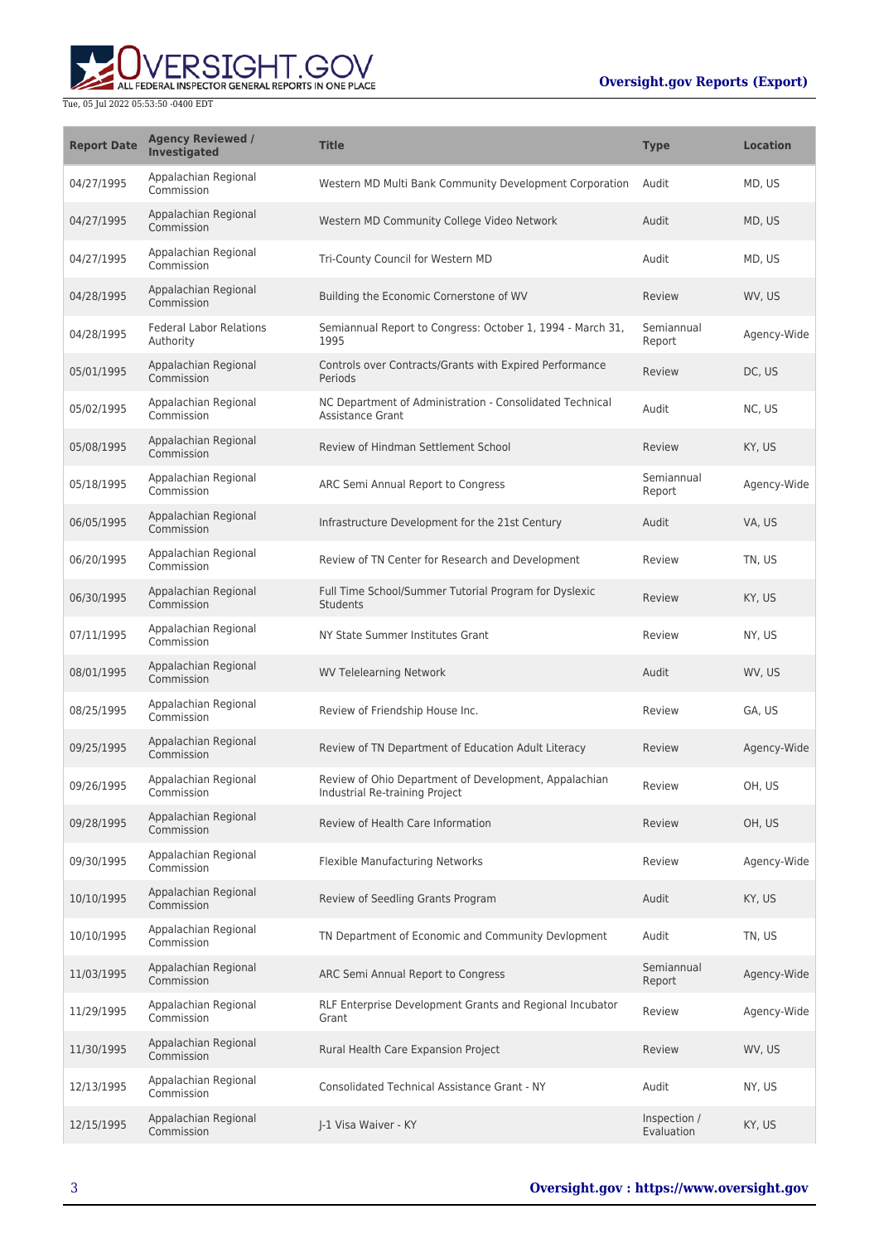## **Oversight.gov Reports (Export)**



| <b>Report Date</b> | <b>Agency Reviewed /</b><br><b>Investigated</b> | <b>Title</b>                                                                            | <b>Type</b>                | <b>Location</b> |
|--------------------|-------------------------------------------------|-----------------------------------------------------------------------------------------|----------------------------|-----------------|
| 04/27/1995         | Appalachian Regional<br>Commission              | Western MD Multi Bank Community Development Corporation                                 | Audit                      | MD, US          |
| 04/27/1995         | Appalachian Regional<br>Commission              | Western MD Community College Video Network                                              | Audit                      | MD, US          |
| 04/27/1995         | Appalachian Regional<br>Commission              | Tri-County Council for Western MD                                                       | Audit                      | MD, US          |
| 04/28/1995         | Appalachian Regional<br>Commission              | Building the Economic Cornerstone of WV                                                 | Review                     | WV, US          |
| 04/28/1995         | <b>Federal Labor Relations</b><br>Authority     | Semiannual Report to Congress: October 1, 1994 - March 31,<br>1995                      | Semiannual<br>Report       | Agency-Wide     |
| 05/01/1995         | Appalachian Regional<br>Commission              | Controls over Contracts/Grants with Expired Performance<br>Periods                      | Review                     | DC, US          |
| 05/02/1995         | Appalachian Regional<br>Commission              | NC Department of Administration - Consolidated Technical<br><b>Assistance Grant</b>     | Audit                      | NC, US          |
| 05/08/1995         | Appalachian Regional<br>Commission              | Review of Hindman Settlement School                                                     | Review                     | KY, US          |
| 05/18/1995         | Appalachian Regional<br>Commission              | ARC Semi Annual Report to Congress                                                      | Semiannual<br>Report       | Agency-Wide     |
| 06/05/1995         | Appalachian Regional<br>Commission              | Infrastructure Development for the 21st Century                                         | Audit                      | VA, US          |
| 06/20/1995         | Appalachian Regional<br>Commission              | Review of TN Center for Research and Development                                        | Review                     | TN. US          |
| 06/30/1995         | Appalachian Regional<br>Commission              | Full Time School/Summer Tutorial Program for Dyslexic<br>Students                       | Review                     | KY, US          |
| 07/11/1995         | Appalachian Regional<br>Commission              | NY State Summer Institutes Grant                                                        | Review                     | NY, US          |
| 08/01/1995         | Appalachian Regional<br>Commission              | <b>WV Telelearning Network</b>                                                          | Audit                      | WV, US          |
| 08/25/1995         | Appalachian Regional<br>Commission              | Review of Friendship House Inc.                                                         | Review                     | GA, US          |
| 09/25/1995         | Appalachian Regional<br>Commission              | Review of TN Department of Education Adult Literacy                                     | Review                     | Agency-Wide     |
| 09/26/1995         | Appalachian Regional<br>Commission              | Review of Ohio Department of Development, Appalachian<br>Industrial Re-training Project | Review                     | OH, US          |
| 09/28/1995         | Appalachian Regional<br>Commission              | Review of Health Care Information                                                       | Review                     | OH, US          |
| 09/30/1995         | Appalachian Regional<br>Commission              | Flexible Manufacturing Networks                                                         | Review                     | Agency-Wide     |
| 10/10/1995         | Appalachian Regional<br>Commission              | Review of Seedling Grants Program                                                       | Audit                      | KY, US          |
| 10/10/1995         | Appalachian Regional<br>Commission              | TN Department of Economic and Community Devlopment                                      | Audit                      | TN, US          |
| 11/03/1995         | Appalachian Regional<br>Commission              | ARC Semi Annual Report to Congress                                                      | Semiannual<br>Report       | Agency-Wide     |
| 11/29/1995         | Appalachian Regional<br>Commission              | RLF Enterprise Development Grants and Regional Incubator<br>Grant                       | Review                     | Agency-Wide     |
| 11/30/1995         | Appalachian Regional<br>Commission              | Rural Health Care Expansion Project                                                     | Review                     | WV, US          |
| 12/13/1995         | Appalachian Regional<br>Commission              | <b>Consolidated Technical Assistance Grant - NY</b>                                     | Audit                      | NY, US          |
| 12/15/1995         | Appalachian Regional<br>Commission              | J-1 Visa Waiver - KY                                                                    | Inspection /<br>Evaluation | KY, US          |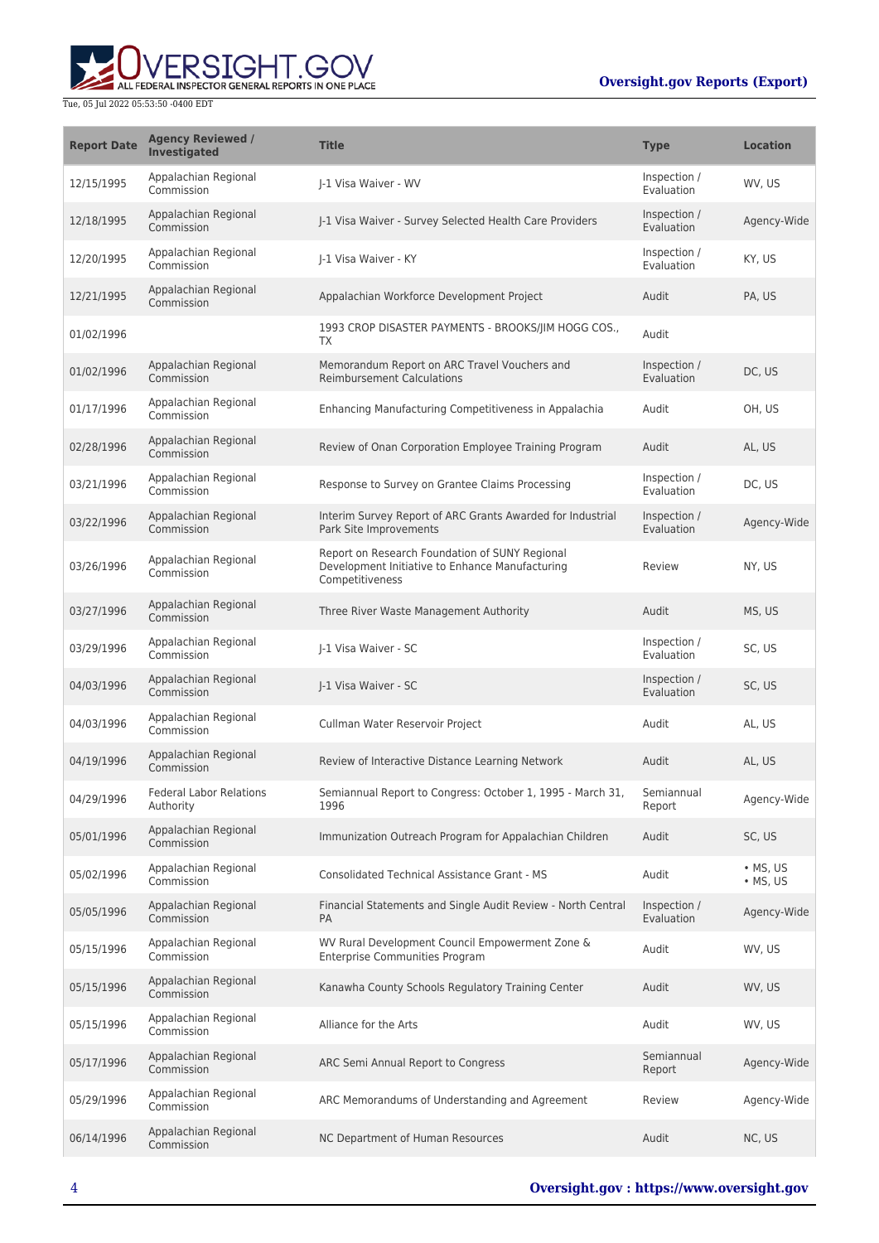

| <b>Report Date</b> | <b>Agency Reviewed /</b><br><b>Investigated</b> | <b>Title</b>                                                                                                         | <b>Type</b>                       | <b>Location</b>              |
|--------------------|-------------------------------------------------|----------------------------------------------------------------------------------------------------------------------|-----------------------------------|------------------------------|
| 12/15/1995         | Appalachian Regional<br>Commission              | I-1 Visa Waiver - WV                                                                                                 | Inspection /<br>Evaluation        | WV, US                       |
| 12/18/1995         | Appalachian Regional<br>Commission              | J-1 Visa Waiver - Survey Selected Health Care Providers                                                              | Inspection /<br>Evaluation        | Agency-Wide                  |
| 12/20/1995         | Appalachian Regional<br>Commission              | I-1 Visa Waiver - KY                                                                                                 | Inspection /<br>Evaluation        | KY, US                       |
| 12/21/1995         | Appalachian Regional<br>Commission              | Appalachian Workforce Development Project                                                                            | Audit                             | PA, US                       |
| 01/02/1996         |                                                 | 1993 CROP DISASTER PAYMENTS - BROOKS/JIM HOGG COS.,<br>TX                                                            | Audit                             |                              |
| 01/02/1996         | Appalachian Regional<br>Commission              | Memorandum Report on ARC Travel Vouchers and<br><b>Reimbursement Calculations</b>                                    | Inspection /<br>Evaluation        | DC, US                       |
| 01/17/1996         | Appalachian Regional<br>Commission              | Enhancing Manufacturing Competitiveness in Appalachia                                                                | Audit                             | OH, US                       |
| 02/28/1996         | Appalachian Regional<br>Commission              | Review of Onan Corporation Employee Training Program                                                                 | Audit                             | AL, US                       |
| 03/21/1996         | Appalachian Regional<br>Commission              | Response to Survey on Grantee Claims Processing                                                                      | Inspection /<br>Evaluation        | DC, US                       |
| 03/22/1996         | Appalachian Regional<br>Commission              | Interim Survey Report of ARC Grants Awarded for Industrial<br>Park Site Improvements                                 | Inspection /<br><b>Evaluation</b> | Agency-Wide                  |
| 03/26/1996         | Appalachian Regional<br>Commission              | Report on Research Foundation of SUNY Regional<br>Development Initiative to Enhance Manufacturing<br>Competitiveness | Review                            | NY, US                       |
| 03/27/1996         | Appalachian Regional<br>Commission              | Three River Waste Management Authority                                                                               | Audit                             | MS, US                       |
| 03/29/1996         | Appalachian Regional<br>Commission              | I-1 Visa Waiver - SC                                                                                                 | Inspection /<br>Evaluation        | SC, US                       |
| 04/03/1996         | Appalachian Regional<br>Commission              | J-1 Visa Waiver - SC                                                                                                 | Inspection /<br>Evaluation        | SC, US                       |
| 04/03/1996         | Appalachian Regional<br>Commission              | Cullman Water Reservoir Project                                                                                      | Audit                             | AL, US                       |
| 04/19/1996         | Appalachian Regional<br>Commission              | Review of Interactive Distance Learning Network                                                                      | Audit                             | AL, US                       |
| 04/29/1996         | <b>Federal Labor Relations</b><br>Authority     | Semiannual Report to Congress: October 1, 1995 - March 31,<br>1996                                                   | Semiannual<br>Report              | Agency-Wide                  |
| 05/01/1996         | Appalachian Regional<br>Commission              | Immunization Outreach Program for Appalachian Children                                                               | Audit                             | SC, US                       |
| 05/02/1996         | Appalachian Regional<br>Commission              | <b>Consolidated Technical Assistance Grant - MS</b>                                                                  | Audit                             | • MS, US<br>$\bullet$ MS, US |
| 05/05/1996         | Appalachian Regional<br>Commission              | Financial Statements and Single Audit Review - North Central<br><b>PA</b>                                            | Inspection /<br>Evaluation        | Agency-Wide                  |
| 05/15/1996         | Appalachian Regional<br>Commission              | WV Rural Development Council Empowerment Zone &<br><b>Enterprise Communities Program</b>                             | Audit                             | WV, US                       |
| 05/15/1996         | Appalachian Regional<br>Commission              | Kanawha County Schools Regulatory Training Center                                                                    | Audit                             | WV, US                       |
| 05/15/1996         | Appalachian Regional<br>Commission              | Alliance for the Arts                                                                                                | Audit                             | WV, US                       |
| 05/17/1996         | Appalachian Regional<br>Commission              | ARC Semi Annual Report to Congress                                                                                   | Semiannual<br>Report              | Agency-Wide                  |
| 05/29/1996         | Appalachian Regional<br>Commission              | ARC Memorandums of Understanding and Agreement                                                                       | Review                            | Agency-Wide                  |
| 06/14/1996         | Appalachian Regional<br>Commission              | NC Department of Human Resources                                                                                     | Audit                             | NC, US                       |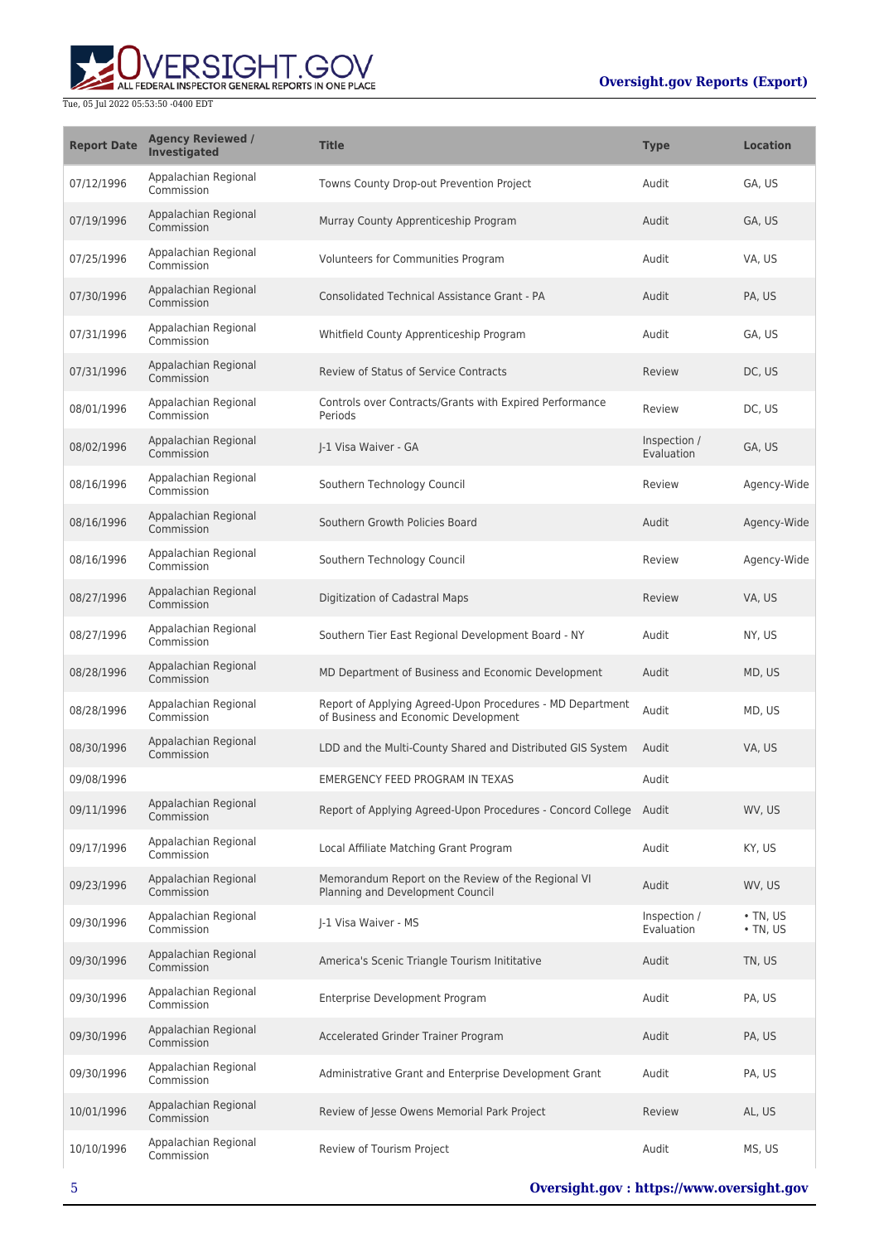

| <b>Report Date</b> | <b>Agency Reviewed /</b><br>Investigated | <b>Title</b>                                                                                      | <b>Type</b>                | <b>Location</b>                  |
|--------------------|------------------------------------------|---------------------------------------------------------------------------------------------------|----------------------------|----------------------------------|
| 07/12/1996         | Appalachian Regional<br>Commission       | Towns County Drop-out Prevention Project                                                          | Audit                      | GA, US                           |
| 07/19/1996         | Appalachian Regional<br>Commission       | Murray County Apprenticeship Program                                                              | Audit                      | GA, US                           |
| 07/25/1996         | Appalachian Regional<br>Commission       | Volunteers for Communities Program                                                                | Audit                      | VA, US                           |
| 07/30/1996         | Appalachian Regional<br>Commission       | Consolidated Technical Assistance Grant - PA                                                      | Audit                      | PA, US                           |
| 07/31/1996         | Appalachian Regional<br>Commission       | Whitfield County Apprenticeship Program                                                           | Audit                      | GA, US                           |
| 07/31/1996         | Appalachian Regional<br>Commission       | <b>Review of Status of Service Contracts</b>                                                      | Review                     | DC, US                           |
| 08/01/1996         | Appalachian Regional<br>Commission       | Controls over Contracts/Grants with Expired Performance<br>Periods                                | Review                     | DC, US                           |
| 08/02/1996         | Appalachian Regional<br>Commission       | I-1 Visa Waiver - GA                                                                              | Inspection /<br>Evaluation | GA, US                           |
| 08/16/1996         | Appalachian Regional<br>Commission       | Southern Technology Council                                                                       | Review                     | Agency-Wide                      |
| 08/16/1996         | Appalachian Regional<br>Commission       | Southern Growth Policies Board                                                                    | Audit                      | Agency-Wide                      |
| 08/16/1996         | Appalachian Regional<br>Commission       | Southern Technology Council                                                                       | Review                     | Agency-Wide                      |
| 08/27/1996         | Appalachian Regional<br>Commission       | Digitization of Cadastral Maps                                                                    | Review                     | VA, US                           |
| 08/27/1996         | Appalachian Regional<br>Commission       | Southern Tier East Regional Development Board - NY                                                | Audit                      | NY, US                           |
| 08/28/1996         | Appalachian Regional<br>Commission       | MD Department of Business and Economic Development                                                | Audit                      | MD, US                           |
| 08/28/1996         | Appalachian Regional<br>Commission       | Report of Applying Agreed-Upon Procedures - MD Department<br>of Business and Economic Development | Audit                      | MD, US                           |
| 08/30/1996         | Appalachian Regional<br>Commission       | LDD and the Multi-County Shared and Distributed GIS System                                        | Audit                      | VA, US                           |
| 09/08/1996         |                                          | <b>EMERGENCY FEED PROGRAM IN TEXAS</b>                                                            | Audit                      |                                  |
| 09/11/1996         | Appalachian Regional<br>Commission       | Report of Applying Agreed-Upon Procedures - Concord College Audit                                 |                            | WV. US                           |
| 09/17/1996         | Appalachian Regional<br>Commission       | Local Affiliate Matching Grant Program                                                            | Audit                      | KY, US                           |
| 09/23/1996         | Appalachian Regional<br>Commission       | Memorandum Report on the Review of the Regional VI<br>Planning and Development Council            | Audit                      | WV, US                           |
| 09/30/1996         | Appalachian Regional<br>Commission       | I-1 Visa Waiver - MS                                                                              | Inspection /<br>Evaluation | $\cdot$ TN, US<br>$\cdot$ TN, US |
| 09/30/1996         | Appalachian Regional<br>Commission       | America's Scenic Triangle Tourism Inititative                                                     | Audit                      | TN, US                           |
| 09/30/1996         | Appalachian Regional<br>Commission       | Enterprise Development Program                                                                    | Audit                      | PA, US                           |
| 09/30/1996         | Appalachian Regional<br>Commission       | Accelerated Grinder Trainer Program                                                               | Audit                      | PA, US                           |
| 09/30/1996         | Appalachian Regional<br>Commission       | Administrative Grant and Enterprise Development Grant                                             | Audit                      | PA, US                           |
| 10/01/1996         | Appalachian Regional<br>Commission       | Review of Jesse Owens Memorial Park Project                                                       | Review                     | AL, US                           |
| 10/10/1996         | Appalachian Regional<br>Commission       | Review of Tourism Project                                                                         | Audit                      | MS, US                           |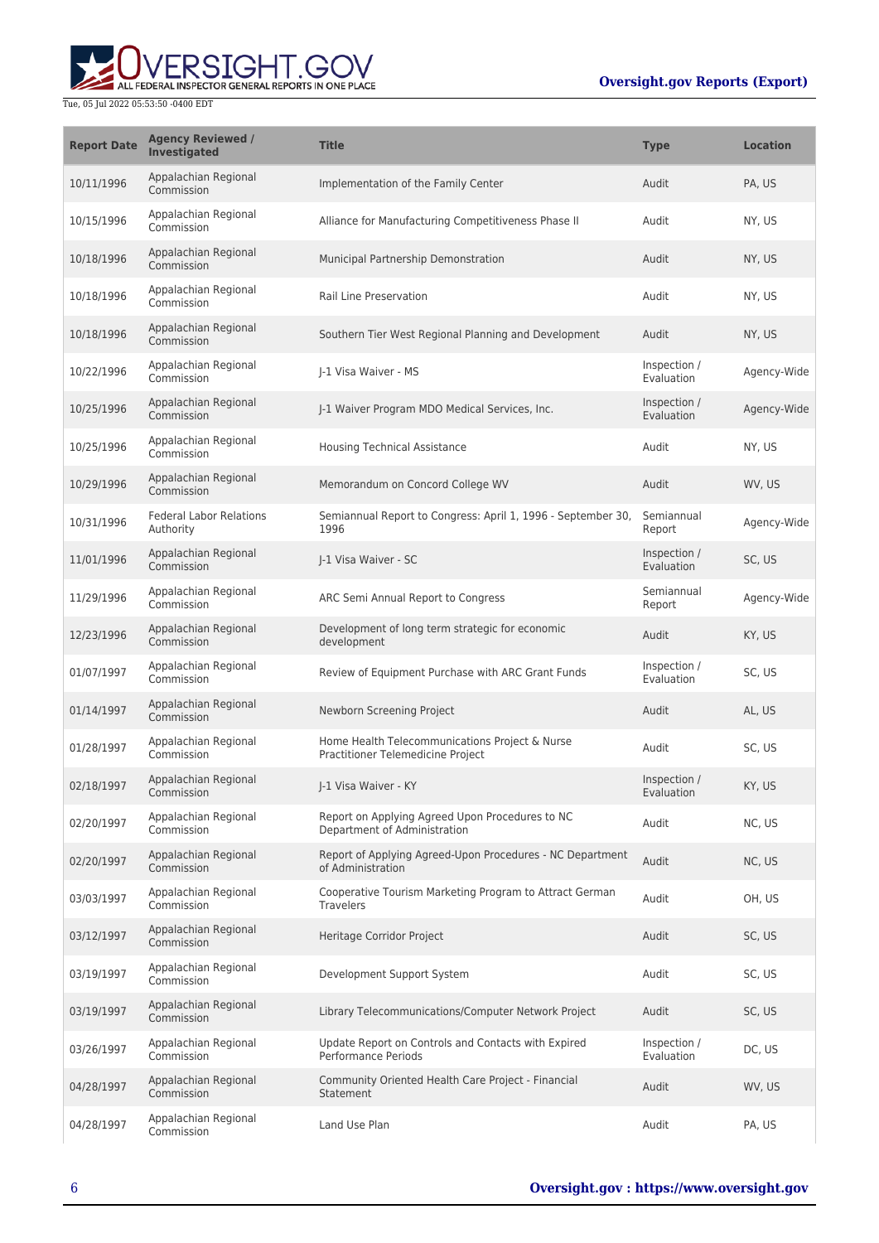

| <b>Report Date</b> | <b>Agency Reviewed /</b><br>Investigated    | <b>Title</b>                                                                        | <b>Type</b>                | <b>Location</b> |
|--------------------|---------------------------------------------|-------------------------------------------------------------------------------------|----------------------------|-----------------|
| 10/11/1996         | Appalachian Regional<br>Commission          | Implementation of the Family Center                                                 | Audit                      | PA, US          |
| 10/15/1996         | Appalachian Regional<br>Commission          | Alliance for Manufacturing Competitiveness Phase II                                 | Audit                      | NY, US          |
| 10/18/1996         | Appalachian Regional<br>Commission          | Municipal Partnership Demonstration                                                 | Audit                      | NY, US          |
| 10/18/1996         | Appalachian Regional<br>Commission          | Rail Line Preservation                                                              | Audit                      | NY, US          |
| 10/18/1996         | Appalachian Regional<br>Commission          | Southern Tier West Regional Planning and Development                                | Audit                      | NY, US          |
| 10/22/1996         | Appalachian Regional<br>Commission          | I-1 Visa Waiver - MS                                                                | Inspection /<br>Evaluation | Agency-Wide     |
| 10/25/1996         | Appalachian Regional<br>Commission          | J-1 Waiver Program MDO Medical Services, Inc.                                       | Inspection /<br>Evaluation | Agency-Wide     |
| 10/25/1996         | Appalachian Regional<br>Commission          | <b>Housing Technical Assistance</b>                                                 | Audit                      | NY, US          |
| 10/29/1996         | Appalachian Regional<br>Commission          | Memorandum on Concord College WV                                                    | Audit                      | WV, US          |
| 10/31/1996         | <b>Federal Labor Relations</b><br>Authority | Semiannual Report to Congress: April 1, 1996 - September 30,<br>1996                | Semiannual<br>Report       | Agency-Wide     |
| 11/01/1996         | Appalachian Regional<br>Commission          | J-1 Visa Waiver - SC                                                                | Inspection /<br>Evaluation | SC, US          |
| 11/29/1996         | Appalachian Regional<br>Commission          | ARC Semi Annual Report to Congress                                                  | Semiannual<br>Report       | Agency-Wide     |
| 12/23/1996         | Appalachian Regional<br>Commission          | Development of long term strategic for economic<br>development                      | Audit                      | KY, US          |
| 01/07/1997         | Appalachian Regional<br>Commission          | Review of Equipment Purchase with ARC Grant Funds                                   | Inspection /<br>Evaluation | SC, US          |
| 01/14/1997         | Appalachian Regional<br>Commission          | Newborn Screening Project                                                           | Audit                      | AL, US          |
| 01/28/1997         | Appalachian Regional<br>Commission          | Home Health Telecommunications Project & Nurse<br>Practitioner Telemedicine Project | Audit                      | SC, US          |
| 02/18/1997         | Appalachian Regional<br>Commission          | J-1 Visa Waiver - KY                                                                | Inspection /<br>Evaluation | KY, US          |
| 02/20/1997         | Appalachian Regional<br>Commission          | Report on Applying Agreed Upon Procedures to NC<br>Department of Administration     | Audit                      | NC, US          |
| 02/20/1997         | Appalachian Regional<br>Commission          | Report of Applying Agreed-Upon Procedures - NC Department<br>of Administration      | Audit                      | NC, US          |
| 03/03/1997         | Appalachian Regional<br>Commission          | Cooperative Tourism Marketing Program to Attract German<br><b>Travelers</b>         | Audit                      | OH, US          |
| 03/12/1997         | Appalachian Regional<br>Commission          | Heritage Corridor Project                                                           | Audit                      | SC, US          |
| 03/19/1997         | Appalachian Regional<br>Commission          | Development Support System                                                          | Audit                      | SC, US          |
| 03/19/1997         | Appalachian Regional<br>Commission          | Library Telecommunications/Computer Network Project                                 | Audit                      | SC, US          |
| 03/26/1997         | Appalachian Regional<br>Commission          | Update Report on Controls and Contacts with Expired<br><b>Performance Periods</b>   | Inspection /<br>Evaluation | DC, US          |
| 04/28/1997         | Appalachian Regional<br>Commission          | Community Oriented Health Care Project - Financial<br>Statement                     | Audit                      | WV, US          |
| 04/28/1997         | Appalachian Regional<br>Commission          | Land Use Plan                                                                       | Audit                      | PA, US          |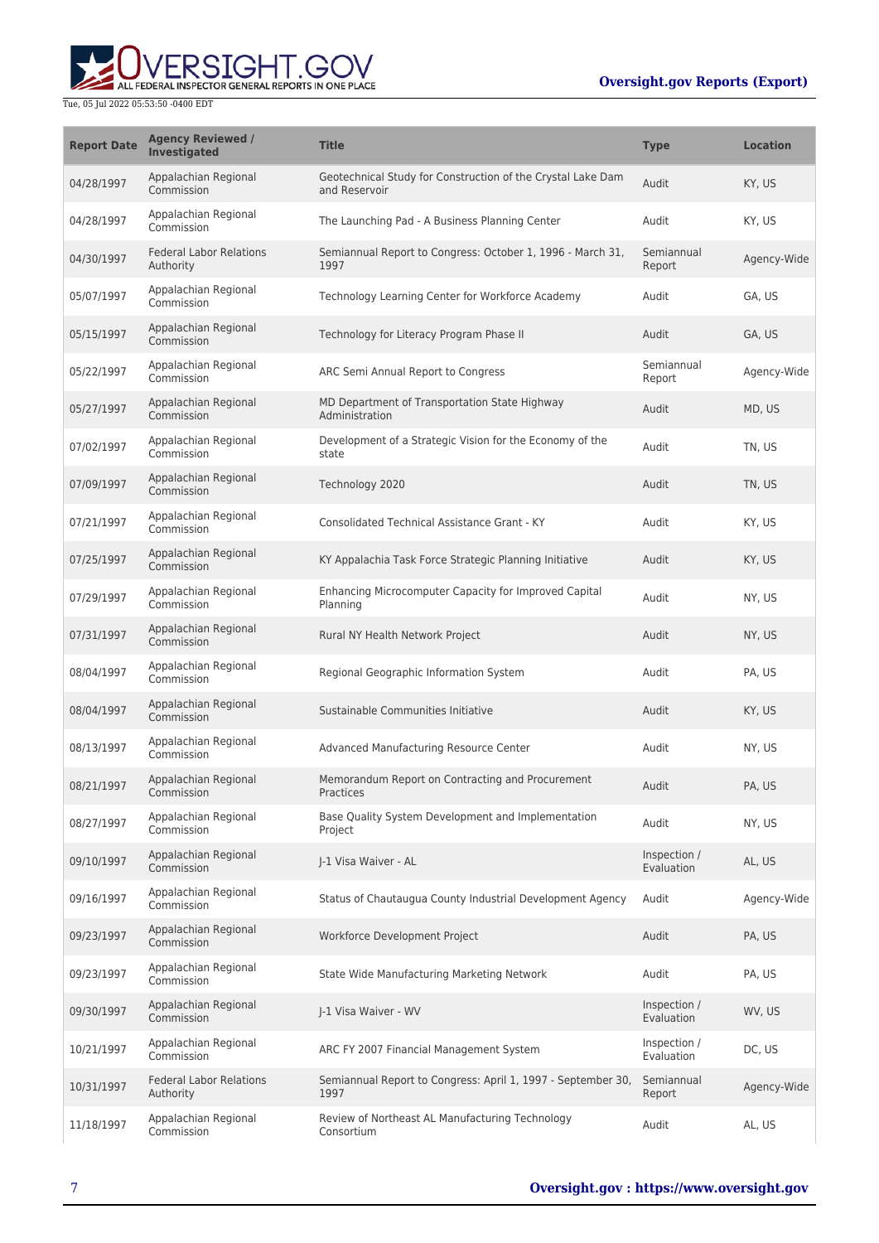# ALL FEDERAL INSPECTOR GENERAL REPORTS IN ONE PLACE Tue, 05 Jul 2022 05:53:50 -0400 EDT

| <b>Report Date</b> | <b>Agency Reviewed /</b><br>Investigated    | <b>Title</b>                                                                 | <b>Type</b>                | <b>Location</b> |
|--------------------|---------------------------------------------|------------------------------------------------------------------------------|----------------------------|-----------------|
| 04/28/1997         | Appalachian Regional<br>Commission          | Geotechnical Study for Construction of the Crystal Lake Dam<br>and Reservoir | Audit                      | KY, US          |
| 04/28/1997         | Appalachian Regional<br>Commission          | The Launching Pad - A Business Planning Center                               | Audit                      | KY, US          |
| 04/30/1997         | <b>Federal Labor Relations</b><br>Authority | Semiannual Report to Congress: October 1, 1996 - March 31,<br>1997           | Semiannual<br>Report       | Agency-Wide     |
| 05/07/1997         | Appalachian Regional<br>Commission          | Technology Learning Center for Workforce Academy                             | Audit                      | GA, US          |
| 05/15/1997         | Appalachian Regional<br>Commission          | Technology for Literacy Program Phase II                                     | Audit                      | GA, US          |
| 05/22/1997         | Appalachian Regional<br>Commission          | ARC Semi Annual Report to Congress                                           | Semiannual<br>Report       | Agency-Wide     |
| 05/27/1997         | Appalachian Regional<br>Commission          | MD Department of Transportation State Highway<br>Administration              | Audit                      | MD, US          |
| 07/02/1997         | Appalachian Regional<br>Commission          | Development of a Strategic Vision for the Economy of the<br>state            | Audit                      | TN, US          |
| 07/09/1997         | Appalachian Regional<br>Commission          | Technology 2020                                                              | Audit                      | TN, US          |
| 07/21/1997         | Appalachian Regional<br>Commission          | Consolidated Technical Assistance Grant - KY                                 | Audit                      | KY, US          |
| 07/25/1997         | Appalachian Regional<br>Commission          | KY Appalachia Task Force Strategic Planning Initiative                       | Audit                      | KY, US          |
| 07/29/1997         | Appalachian Regional<br>Commission          | Enhancing Microcomputer Capacity for Improved Capital<br>Planning            | Audit                      | NY, US          |
| 07/31/1997         | Appalachian Regional<br>Commission          | Rural NY Health Network Project                                              | Audit                      | NY, US          |
| 08/04/1997         | Appalachian Regional<br>Commission          | Regional Geographic Information System                                       | Audit                      | PA, US          |
| 08/04/1997         | Appalachian Regional<br>Commission          | Sustainable Communities Initiative                                           | Audit                      | KY, US          |
| 08/13/1997         | Appalachian Regional<br>Commission          | Advanced Manufacturing Resource Center                                       | Audit                      | NY, US          |
| 08/21/1997         | Appalachian Regional<br>Commission          | Memorandum Report on Contracting and Procurement<br><b>Practices</b>         | Audit                      | PA, US          |
| 08/27/1997         | Appalachian Regional<br>Commission          | Base Quality System Development and Implementation<br>Project                | Audit                      | NY, US          |
| 09/10/1997         | Appalachian Regional<br>Commission          | J-1 Visa Waiver - AL                                                         | Inspection /<br>Evaluation | AL, US          |
| 09/16/1997         | Appalachian Regional<br>Commission          | Status of Chautaugua County Industrial Development Agency                    | Audit                      | Agency-Wide     |
| 09/23/1997         | Appalachian Regional<br>Commission          | Workforce Development Project                                                | Audit                      | PA, US          |
| 09/23/1997         | Appalachian Regional<br>Commission          | State Wide Manufacturing Marketing Network                                   | Audit                      | PA, US          |
| 09/30/1997         | Appalachian Regional<br>Commission          | J-1 Visa Waiver - WV                                                         | Inspection /<br>Evaluation | WV, US          |
| 10/21/1997         | Appalachian Regional<br>Commission          | ARC FY 2007 Financial Management System                                      | Inspection /<br>Evaluation | DC, US          |
| 10/31/1997         | <b>Federal Labor Relations</b><br>Authority | Semiannual Report to Congress: April 1, 1997 - September 30,<br>1997         | Semiannual<br>Report       | Agency-Wide     |
| 11/18/1997         | Appalachian Regional<br>Commission          | Review of Northeast AL Manufacturing Technology<br>Consortium                | Audit                      | AL, US          |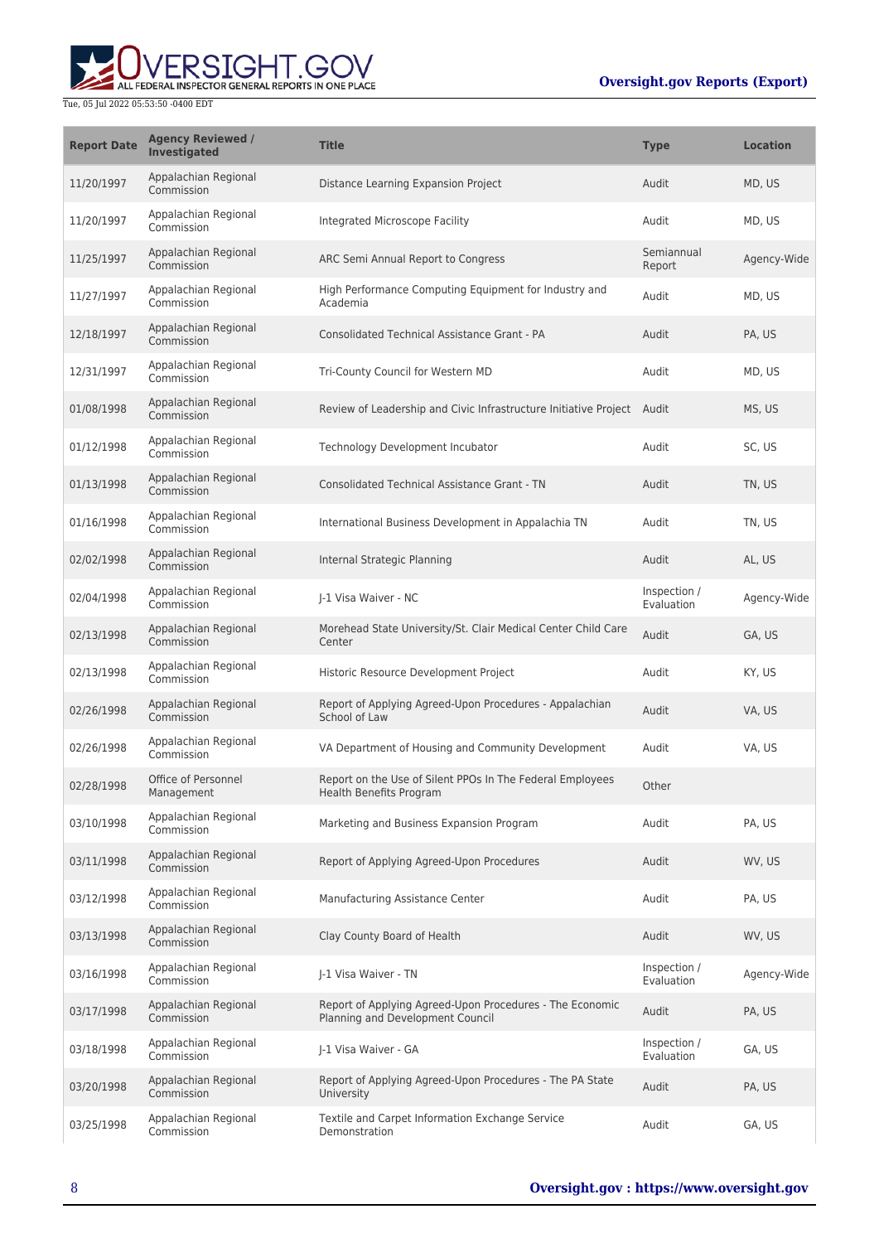

| <b>Report Date</b> | <b>Agency Reviewed /</b><br>Investigated | <b>Title</b>                                                                                 | <b>Type</b>                | <b>Location</b> |
|--------------------|------------------------------------------|----------------------------------------------------------------------------------------------|----------------------------|-----------------|
| 11/20/1997         | Appalachian Regional<br>Commission       | Distance Learning Expansion Project                                                          | Audit                      | MD, US          |
| 11/20/1997         | Appalachian Regional<br>Commission       | Integrated Microscope Facility                                                               | Audit                      | MD, US          |
| 11/25/1997         | Appalachian Regional<br>Commission       | ARC Semi Annual Report to Congress                                                           | Semiannual<br>Report       | Agency-Wide     |
| 11/27/1997         | Appalachian Regional<br>Commission       | High Performance Computing Equipment for Industry and<br>Academia                            | Audit                      | MD, US          |
| 12/18/1997         | Appalachian Regional<br>Commission       | <b>Consolidated Technical Assistance Grant - PA</b>                                          | Audit                      | PA, US          |
| 12/31/1997         | Appalachian Regional<br>Commission       | Tri-County Council for Western MD                                                            | Audit                      | MD, US          |
| 01/08/1998         | Appalachian Regional<br>Commission       | Review of Leadership and Civic Infrastructure Initiative Project Audit                       |                            | MS, US          |
| 01/12/1998         | Appalachian Regional<br>Commission       | Technology Development Incubator                                                             | Audit                      | SC, US          |
| 01/13/1998         | Appalachian Regional<br>Commission       | <b>Consolidated Technical Assistance Grant - TN</b>                                          | Audit                      | TN, US          |
| 01/16/1998         | Appalachian Regional<br>Commission       | International Business Development in Appalachia TN                                          | Audit                      | TN, US          |
| 02/02/1998         | Appalachian Regional<br>Commission       | Internal Strategic Planning                                                                  | Audit                      | AL, US          |
| 02/04/1998         | Appalachian Regional<br>Commission       | J-1 Visa Waiver - NC                                                                         | Inspection /<br>Evaluation | Agency-Wide     |
| 02/13/1998         | Appalachian Regional<br>Commission       | Morehead State University/St. Clair Medical Center Child Care<br>Center                      | Audit                      | GA, US          |
| 02/13/1998         | Appalachian Regional<br>Commission       | Historic Resource Development Project                                                        | Audit                      | KY, US          |
| 02/26/1998         | Appalachian Regional<br>Commission       | Report of Applying Agreed-Upon Procedures - Appalachian<br>School of Law                     | Audit                      | VA, US          |
| 02/26/1998         | Appalachian Regional<br>Commission       | VA Department of Housing and Community Development                                           | Audit                      | VA, US          |
| 02/28/1998         | Office of Personnel<br>Management        | Report on the Use of Silent PPOs In The Federal Employees<br>Health Benefits Program         | Other                      |                 |
| 03/10/1998         | Appalachian Regional<br>Commission       | Marketing and Business Expansion Program                                                     | Audit                      | PA, US          |
| 03/11/1998         | Appalachian Regional<br>Commission       | Report of Applying Agreed-Upon Procedures                                                    | Audit                      | WV, US          |
| 03/12/1998         | Appalachian Regional<br>Commission       | Manufacturing Assistance Center                                                              | Audit                      | PA, US          |
| 03/13/1998         | Appalachian Regional<br>Commission       | Clay County Board of Health                                                                  | Audit                      | WV, US          |
| 03/16/1998         | Appalachian Regional<br>Commission       | J-1 Visa Waiver - TN                                                                         | Inspection /<br>Evaluation | Agency-Wide     |
| 03/17/1998         | Appalachian Regional<br>Commission       | Report of Applying Agreed-Upon Procedures - The Economic<br>Planning and Development Council | Audit                      | PA, US          |
| 03/18/1998         | Appalachian Regional<br>Commission       | J-1 Visa Waiver - GA                                                                         | Inspection /<br>Evaluation | GA, US          |
| 03/20/1998         | Appalachian Regional<br>Commission       | Report of Applying Agreed-Upon Procedures - The PA State<br>University                       | Audit                      | PA, US          |
| 03/25/1998         | Appalachian Regional<br>Commission       | Textile and Carpet Information Exchange Service<br>Demonstration                             | Audit                      | GA, US          |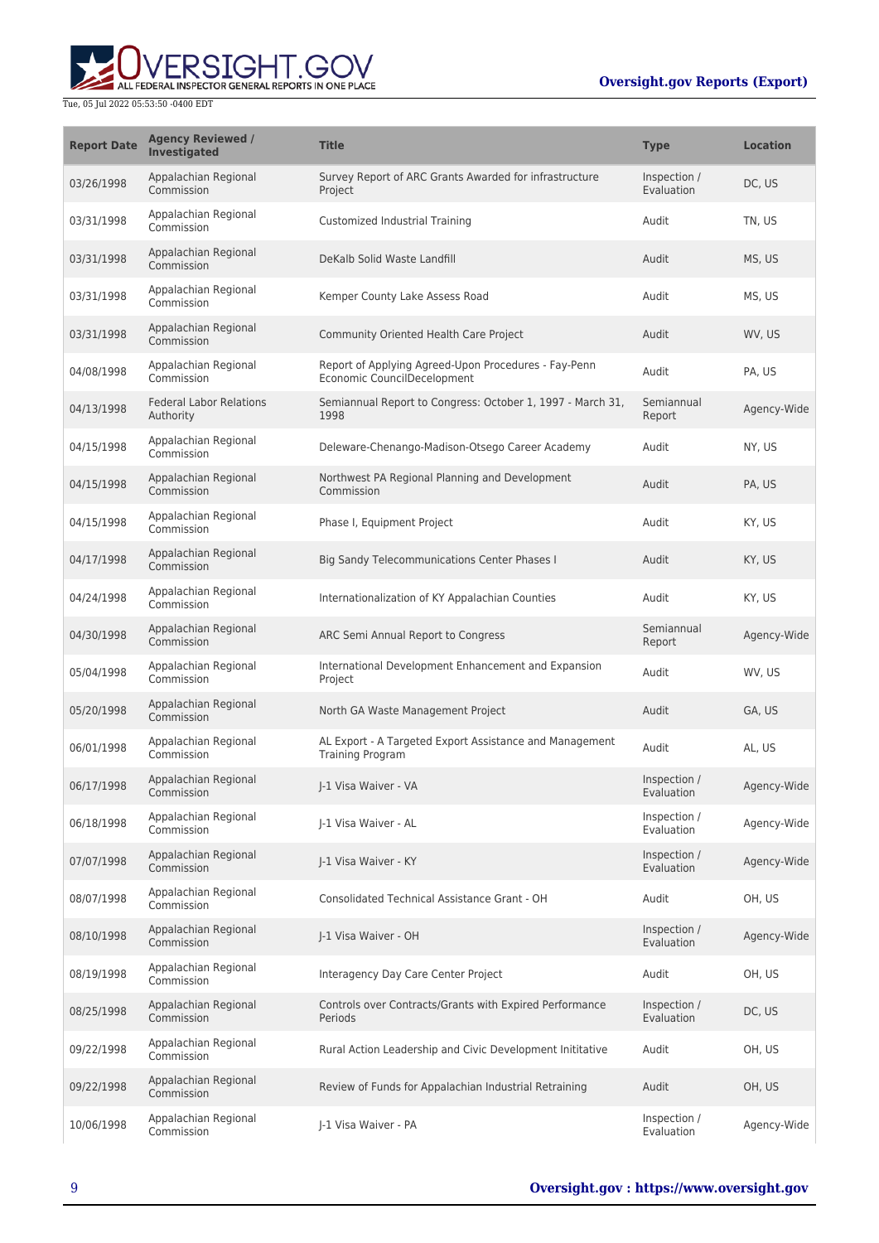

| <b>Report Date</b> | <b>Agency Reviewed /</b><br><b>Investigated</b> | <b>Title</b>                                                                        | <b>Type</b>                | <b>Location</b> |
|--------------------|-------------------------------------------------|-------------------------------------------------------------------------------------|----------------------------|-----------------|
| 03/26/1998         | Appalachian Regional<br>Commission              | Survey Report of ARC Grants Awarded for infrastructure<br>Project                   | Inspection /<br>Evaluation | DC, US          |
| 03/31/1998         | Appalachian Regional<br>Commission              | Customized Industrial Training                                                      | Audit                      | TN, US          |
| 03/31/1998         | Appalachian Regional<br>Commission              | DeKalb Solid Waste Landfill                                                         | Audit                      | MS, US          |
| 03/31/1998         | Appalachian Regional<br>Commission              | Kemper County Lake Assess Road                                                      | Audit                      | MS, US          |
| 03/31/1998         | Appalachian Regional<br>Commission              | Community Oriented Health Care Project                                              | Audit                      | WV, US          |
| 04/08/1998         | Appalachian Regional<br>Commission              | Report of Applying Agreed-Upon Procedures - Fay-Penn<br>Economic CouncilDecelopment | Audit                      | PA, US          |
| 04/13/1998         | <b>Federal Labor Relations</b><br>Authority     | Semiannual Report to Congress: October 1, 1997 - March 31,<br>1998                  | Semiannual<br>Report       | Agency-Wide     |
| 04/15/1998         | Appalachian Regional<br>Commission              | Deleware-Chenango-Madison-Otsego Career Academy                                     | Audit                      | NY, US          |
| 04/15/1998         | Appalachian Regional<br>Commission              | Northwest PA Regional Planning and Development<br>Commission                        | Audit                      | PA, US          |
| 04/15/1998         | Appalachian Regional<br>Commission              | Phase I, Equipment Project                                                          | Audit                      | KY, US          |
| 04/17/1998         | Appalachian Regional<br>Commission              | Big Sandy Telecommunications Center Phases I                                        | Audit                      | KY, US          |
| 04/24/1998         | Appalachian Regional<br>Commission              | Internationalization of KY Appalachian Counties                                     | Audit                      | KY, US          |
| 04/30/1998         | Appalachian Regional<br>Commission              | ARC Semi Annual Report to Congress                                                  | Semiannual<br>Report       | Agency-Wide     |
| 05/04/1998         | Appalachian Regional<br>Commission              | International Development Enhancement and Expansion<br>Project                      | Audit                      | WV, US          |
| 05/20/1998         | Appalachian Regional<br>Commission              | North GA Waste Management Project                                                   | Audit                      | GA, US          |
| 06/01/1998         | Appalachian Regional<br>Commission              | AL Export - A Targeted Export Assistance and Management<br><b>Training Program</b>  | Audit                      | AL, US          |
| 06/17/1998         | Appalachian Regional<br>Commission              | I-1 Visa Waiver - VA                                                                | Inspection /<br>Evaluation | Agency-Wide     |
| 06/18/1998         | Appalachian Regional<br>Commission              | J-1 Visa Waiver - AL                                                                | Inspection /<br>Evaluation | Agency-Wide     |
| 07/07/1998         | Appalachian Regional<br>Commission              | J-1 Visa Waiver - KY                                                                | Inspection /<br>Evaluation | Agency-Wide     |
| 08/07/1998         | Appalachian Regional<br>Commission              | Consolidated Technical Assistance Grant - OH                                        | Audit                      | OH, US          |
| 08/10/1998         | Appalachian Regional<br>Commission              | J-1 Visa Waiver - OH                                                                | Inspection /<br>Evaluation | Agency-Wide     |
| 08/19/1998         | Appalachian Regional<br>Commission              | Interagency Day Care Center Project                                                 | Audit                      | OH, US          |
| 08/25/1998         | Appalachian Regional<br>Commission              | Controls over Contracts/Grants with Expired Performance<br>Periods                  | Inspection /<br>Evaluation | DC, US          |
| 09/22/1998         | Appalachian Regional<br>Commission              | Rural Action Leadership and Civic Development Inititative                           | Audit                      | OH, US          |
| 09/22/1998         | Appalachian Regional<br>Commission              | Review of Funds for Appalachian Industrial Retraining                               | Audit                      | OH, US          |
| 10/06/1998         | Appalachian Regional<br>Commission              | J-1 Visa Waiver - PA                                                                | Inspection /<br>Evaluation | Agency-Wide     |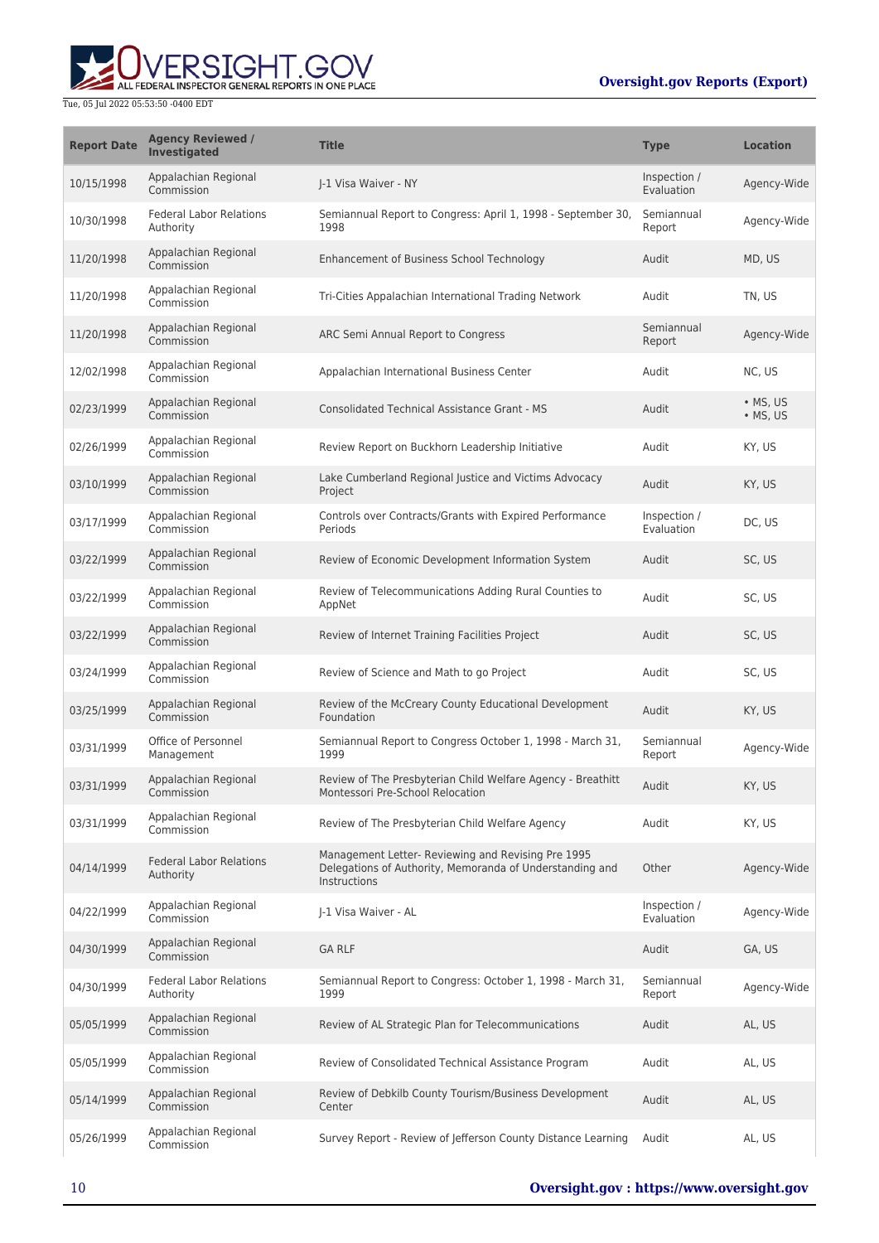## ERSIGHT.GOV ALL FEDERAL INSPECTOR GENERAL REPORTS IN ONE PLACE

#### Tue, 05 Jul 2022 05:53:50 -0400 EDT

### **Oversight.gov Reports (Export)**

| <b>Report Date</b> | <b>Agency Reviewed /</b><br>Investigated    | <b>Title</b>                                                                                                                   | <b>Type</b>                | <b>Location</b>              |
|--------------------|---------------------------------------------|--------------------------------------------------------------------------------------------------------------------------------|----------------------------|------------------------------|
| 10/15/1998         | Appalachian Regional<br>Commission          | I-1 Visa Waiver - NY                                                                                                           | Inspection /<br>Evaluation | Agency-Wide                  |
| 10/30/1998         | <b>Federal Labor Relations</b><br>Authority | Semiannual Report to Congress: April 1, 1998 - September 30,<br>1998                                                           | Semiannual<br>Report       | Agency-Wide                  |
| 11/20/1998         | Appalachian Regional<br>Commission          | Enhancement of Business School Technology                                                                                      | Audit                      | MD, US                       |
| 11/20/1998         | Appalachian Regional<br>Commission          | Tri-Cities Appalachian International Trading Network                                                                           | Audit                      | TN, US                       |
| 11/20/1998         | Appalachian Regional<br>Commission          | ARC Semi Annual Report to Congress                                                                                             | Semiannual<br>Report       | Agency-Wide                  |
| 12/02/1998         | Appalachian Regional<br>Commission          | Appalachian International Business Center                                                                                      | Audit                      | NC, US                       |
| 02/23/1999         | Appalachian Regional<br>Commission          | <b>Consolidated Technical Assistance Grant - MS</b>                                                                            | Audit                      | $\bullet$ MS, US<br>• MS, US |
| 02/26/1999         | Appalachian Regional<br>Commission          | Review Report on Buckhorn Leadership Initiative                                                                                | Audit                      | KY, US                       |
| 03/10/1999         | Appalachian Regional<br>Commission          | Lake Cumberland Regional Justice and Victims Advocacy<br>Project                                                               | Audit                      | KY, US                       |
| 03/17/1999         | Appalachian Regional<br>Commission          | Controls over Contracts/Grants with Expired Performance<br>Periods                                                             | Inspection /<br>Evaluation | DC, US                       |
| 03/22/1999         | Appalachian Regional<br>Commission          | Review of Economic Development Information System                                                                              | Audit                      | SC, US                       |
| 03/22/1999         | Appalachian Regional<br>Commission          | Review of Telecommunications Adding Rural Counties to<br>AppNet                                                                | Audit                      | SC, US                       |
| 03/22/1999         | Appalachian Regional<br>Commission          | Review of Internet Training Facilities Project                                                                                 | Audit                      | SC, US                       |
| 03/24/1999         | Appalachian Regional<br>Commission          | Review of Science and Math to go Project                                                                                       | Audit                      | SC, US                       |
| 03/25/1999         | Appalachian Regional<br>Commission          | Review of the McCreary County Educational Development<br>Foundation                                                            | Audit                      | KY, US                       |
| 03/31/1999         | Office of Personnel<br>Management           | Semiannual Report to Congress October 1, 1998 - March 31,<br>1999                                                              | Semiannual<br>Report       | Agency-Wide                  |
| 03/31/1999         | Appalachian Regional<br>Commission          | Review of The Presbyterian Child Welfare Agency - Breathitt<br>Montessori Pre-School Relocation                                | Audit                      | KY, US                       |
| 03/31/1999         | Appalachian Regional<br>Commission          | Review of The Presbyterian Child Welfare Agency                                                                                | Audit                      | KY. US                       |
| 04/14/1999         | <b>Federal Labor Relations</b><br>Authority | Management Letter- Reviewing and Revising Pre 1995<br>Delegations of Authority, Memoranda of Understanding and<br>Instructions | Other                      | Agency-Wide                  |
| 04/22/1999         | Appalachian Regional<br>Commission          | J-1 Visa Waiver - AL                                                                                                           | Inspection /<br>Evaluation | Agency-Wide                  |
| 04/30/1999         | Appalachian Regional<br>Commission          | <b>GA RLF</b>                                                                                                                  | Audit                      | GA, US                       |
| 04/30/1999         | <b>Federal Labor Relations</b><br>Authority | Semiannual Report to Congress: October 1, 1998 - March 31,<br>1999                                                             | Semiannual<br>Report       | Agency-Wide                  |
| 05/05/1999         | Appalachian Regional<br>Commission          | Review of AL Strategic Plan for Telecommunications                                                                             | Audit                      | AL, US                       |
| 05/05/1999         | Appalachian Regional<br>Commission          | Review of Consolidated Technical Assistance Program                                                                            | Audit                      | AL, US                       |
| 05/14/1999         | Appalachian Regional<br>Commission          | Review of Debkilb County Tourism/Business Development<br>Center                                                                | Audit                      | AL, US                       |
| 05/26/1999         | Appalachian Regional<br>Commission          | Survey Report - Review of Jefferson County Distance Learning                                                                   | Audit                      | AL, US                       |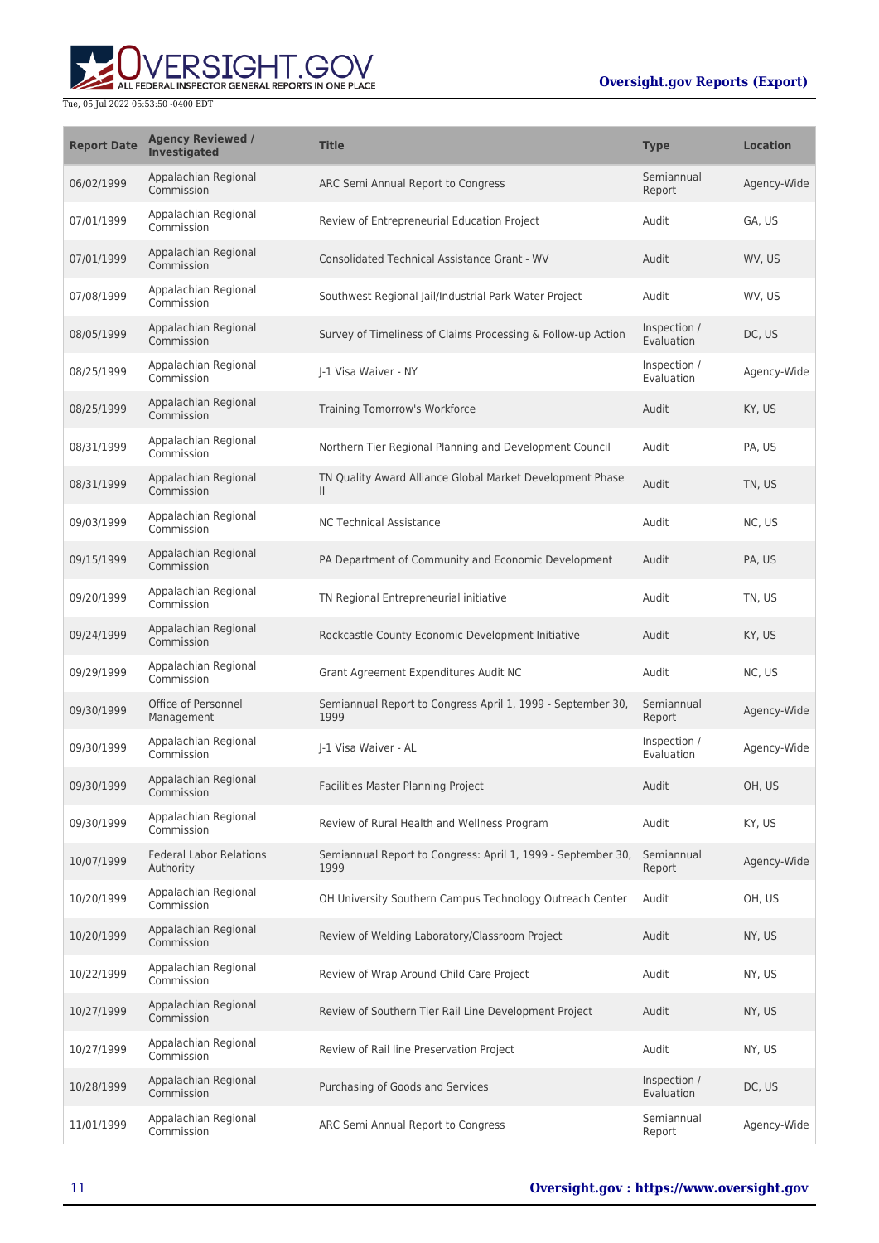

| <b>Report Date</b> | <b>Agency Reviewed /</b><br>Investigated    | <b>Title</b>                                                         | <b>Type</b>                | <b>Location</b> |
|--------------------|---------------------------------------------|----------------------------------------------------------------------|----------------------------|-----------------|
| 06/02/1999         | Appalachian Regional<br>Commission          | ARC Semi Annual Report to Congress                                   | Semiannual<br>Report       | Agency-Wide     |
| 07/01/1999         | Appalachian Regional<br>Commission          | Review of Entrepreneurial Education Project                          | Audit                      | GA, US          |
| 07/01/1999         | Appalachian Regional<br>Commission          | <b>Consolidated Technical Assistance Grant - WV</b>                  | Audit                      | WV, US          |
| 07/08/1999         | Appalachian Regional<br>Commission          | Southwest Regional Jail/Industrial Park Water Project                | Audit                      | WV. US          |
| 08/05/1999         | Appalachian Regional<br>Commission          | Survey of Timeliness of Claims Processing & Follow-up Action         | Inspection /<br>Evaluation | DC, US          |
| 08/25/1999         | Appalachian Regional<br>Commission          | J-1 Visa Waiver - NY                                                 | Inspection /<br>Evaluation | Agency-Wide     |
| 08/25/1999         | Appalachian Regional<br>Commission          | Training Tomorrow's Workforce                                        | Audit                      | KY, US          |
| 08/31/1999         | Appalachian Regional<br>Commission          | Northern Tier Regional Planning and Development Council              | Audit                      | PA, US          |
| 08/31/1999         | Appalachian Regional<br>Commission          | TN Quality Award Alliance Global Market Development Phase<br>Ш       | Audit                      | TN, US          |
| 09/03/1999         | Appalachian Regional<br>Commission          | <b>NC Technical Assistance</b>                                       | Audit                      | NC, US          |
| 09/15/1999         | Appalachian Regional<br>Commission          | PA Department of Community and Economic Development                  | Audit                      | PA, US          |
| 09/20/1999         | Appalachian Regional<br>Commission          | TN Regional Entrepreneurial initiative                               | Audit                      | TN, US          |
| 09/24/1999         | Appalachian Regional<br>Commission          | Rockcastle County Economic Development Initiative                    | Audit                      | KY, US          |
| 09/29/1999         | Appalachian Regional<br>Commission          | Grant Agreement Expenditures Audit NC                                | Audit                      | NC, US          |
| 09/30/1999         | Office of Personnel<br>Management           | Semiannual Report to Congress April 1, 1999 - September 30,<br>1999  | Semiannual<br>Report       | Agency-Wide     |
| 09/30/1999         | Appalachian Regional<br>Commission          | I-1 Visa Waiver - AL                                                 | Inspection /<br>Evaluation | Agency-Wide     |
| 09/30/1999         | Appalachian Regional<br>Commission          | Facilities Master Planning Project                                   | Audit                      | OH, US          |
| 09/30/1999         | Appalachian Regional<br>Commission          | Review of Rural Health and Wellness Program                          | Audit                      | KY, US          |
| 10/07/1999         | <b>Federal Labor Relations</b><br>Authority | Semiannual Report to Congress: April 1, 1999 - September 30,<br>1999 | Semiannual<br>Report       | Agency-Wide     |
| 10/20/1999         | Appalachian Regional<br>Commission          | OH University Southern Campus Technology Outreach Center             | Audit                      | OH, US          |
| 10/20/1999         | Appalachian Regional<br>Commission          | Review of Welding Laboratory/Classroom Project                       | Audit                      | NY, US          |
| 10/22/1999         | Appalachian Regional<br>Commission          | Review of Wrap Around Child Care Project                             | Audit                      | NY, US          |
| 10/27/1999         | Appalachian Regional<br>Commission          | Review of Southern Tier Rail Line Development Project                | Audit                      | NY, US          |
| 10/27/1999         | Appalachian Regional<br>Commission          | Review of Rail line Preservation Project                             | Audit                      | NY, US          |
| 10/28/1999         | Appalachian Regional<br>Commission          | Purchasing of Goods and Services                                     | Inspection /<br>Evaluation | DC, US          |
| 11/01/1999         | Appalachian Regional<br>Commission          | ARC Semi Annual Report to Congress                                   | Semiannual<br>Report       | Agency-Wide     |